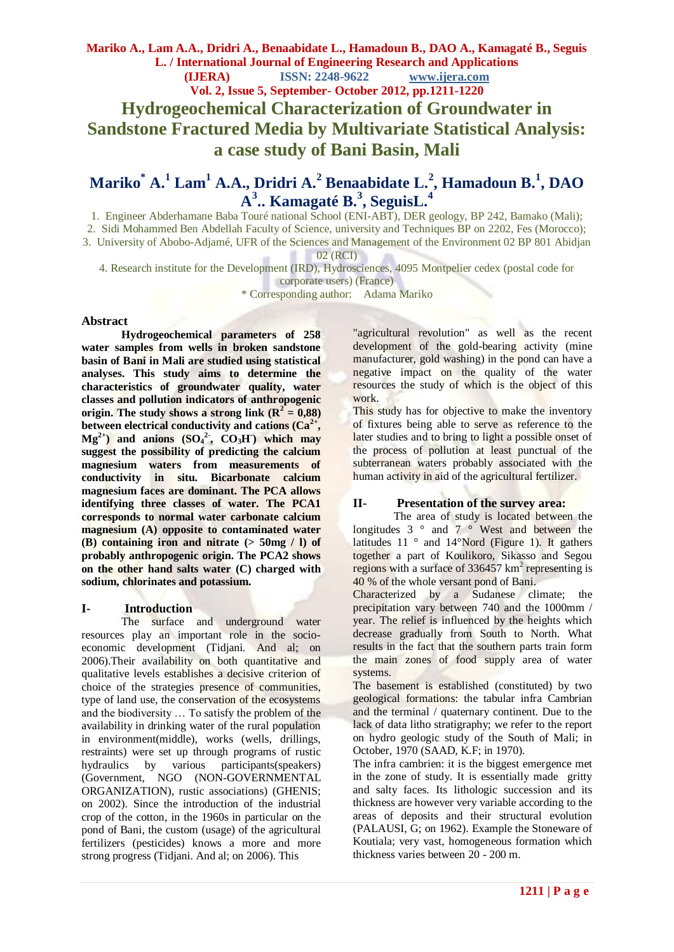**Mariko A., Lam A.A., Dridri A., Benaabidate L., Hamadoun B., DAO A., Kamagaté B., Seguis L. / International Journal of Engineering Research and Applications (IJERA) ISSN: 2248-9622 www.ijera.com Vol. 2, Issue 5, September- October 2012, pp.1211-1220 Hydrogeochemical Characterization of Groundwater in Sandstone Fractured Media by Multivariate Statistical Analysis: a case study of Bani Basin, Mali**

# **Mariko\* A.<sup>1</sup> Lam<sup>1</sup> A.A., Dridri A.<sup>2</sup> Benaabidate L.<sup>2</sup> , Hamadoun B.<sup>1</sup> , DAO A 3 .. Kamagaté B.<sup>3</sup> , SeguisL.<sup>4</sup>**

1. Engineer Abderhamane Baba Touré national School (ENI-ABT), DER geology, BP 242, Bamako (Mali);

2. Sidi Mohammed Ben Abdellah Faculty of Science, university and Techniques BP on 2202, Fes (Morocco);

3. University of Abobo-Adjamé, UFR of the Sciences and Management of the Environment 02 BP 801 Abidjan

02 (RCI)

4. Research institute for the Development (IRD), Hydrosciences, 4095 Montpelier cedex (postal code for

corporate users) (France) \* Corresponding author: Adama Mariko

#### **Abstract**

**Hydrogeochemical parameters of 258 water samples from wells in broken sandstone basin of Bani in Mali are studied using statistical analyses. This study aims to determine the characteristics of groundwater quality, water classes and pollution indicators of anthropogenic**  origin. The study shows a strong link  $(R^2 = 0.88)$ **between electrical conductivity and cations (Ca2+ ,**   $Mg^{2+}$  and anions  $(SO_4^2, CO_3H)$  which may **suggest the possibility of predicting the calcium magnesium waters from measurements of conductivity in situ. Bicarbonate calcium magnesium faces are dominant. The PCA allows identifying three classes of water. The PCA1 corresponds to normal water carbonate calcium magnesium (A) opposite to contaminated water (B) containing iron and nitrate (> 50mg / l) of probably anthropogenic origin. The PCA2 shows on the other hand salts water (C) charged with sodium, chlorinates and potassium.** 

## **I- Introduction**

The surface and underground water resources play an important role in the socioeconomic development (Tidjani. And al; on 2006).Their availability on both quantitative and qualitative levels establishes a decisive criterion of choice of the strategies presence of communities, type of land use, the conservation of the ecosystems and the biodiversity … To satisfy the problem of the availability in drinking water of the rural population in environment(middle), works (wells, drillings, restraints) were set up through programs of rustic hydraulics by various participants(speakers) (Government, NGO (NON-GOVERNMENTAL ORGANIZATION), rustic associations) (GHENIS; on 2002). Since the introduction of the industrial crop of the cotton, in the 1960s in particular on the pond of Bani, the custom (usage) of the agricultural fertilizers (pesticides) knows a more and more strong progress (Tidjani. And al; on 2006). This

"agricultural revolution" as well as the recent development of the gold-bearing activity (mine manufacturer, gold washing) in the pond can have a negative impact on the quality of the water resources the study of which is the object of this work.

This study has for objective to make the inventory of fixtures being able to serve as reference to the later studies and to bring to light a possible onset of the process of pollution at least punctual of the subterranean waters probably associated with the human activity in aid of the agricultural fertilizer.

## **II- Presentation of the survey area:**

The area of study is located between the longitudes  $3^\circ$  and  $7^\circ$  West and between the latitudes 11 ° and 14°Nord (Figure 1). It gathers together a part of Koulikoro, Sikasso and Segou regions with a surface of  $336457 \text{ km}^2$  representing is 40 % of the whole versant pond of Bani.

Characterized by a Sudanese climate; the precipitation vary between 740 and the 1000mm / year. The relief is influenced by the heights which decrease gradually from South to North. What results in the fact that the southern parts train form the main zones of food supply area of water systems.

The basement is established (constituted) by two geological formations: the tabular infra Cambrian and the terminal / quaternary continent. Due to the lack of data litho stratigraphy; we refer to the report on hydro geologic study of the South of Mali; in October, 1970 (SAAD, K.F; in 1970).

The infra cambrien: it is the biggest emergence met in the zone of study. It is essentially made gritty and salty faces. Its lithologic succession and its thickness are however very variable according to the areas of deposits and their structural evolution (PALAUSI, G; on 1962). Example the Stoneware of Koutiala; very vast, homogeneous formation which thickness varies between 20 - 200 m.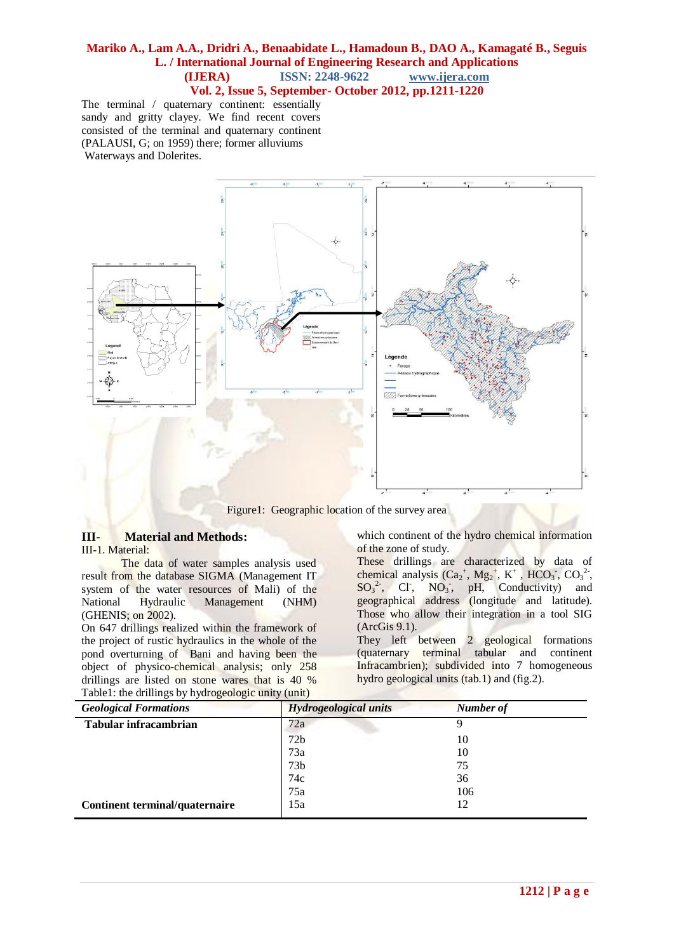The terminal / quaternary continent: essentially sandy and gritty clayey. We find recent covers consisted of the terminal and quaternary continent (PALAUSI, G; on 1959) there; former alluviums Waterways and Dolerites.



Figure1: Geographic location of the survey area

# **III- Material and Methods:**

III-1. Material:

The data of water samples analysis used result from the database SIGMA (Management IT system of the water resources of Mali) of the National Hydraulic Management (NHM) (GHENIS; on 2002).

On 647 drillings realized within the framework of the project of rustic hydraulics in the whole of the pond overturning of Bani and having been the object of physico-chemical analysis; only 258 drillings are listed on stone wares that is 40 % Table1: the drillings by hydrogeologic unity (unit)

which continent of the hydro chemical information of the zone of study.

These drillings are characterized by data of chemical analysis  $(Ca<sub>2</sub><sup>+</sup>, Mg<sub>2</sub><sup>+</sup>, K<sup>+</sup>, HCO<sub>3</sub>$ ,  $CO<sub>3</sub><sup>2</sup>$ ,  $SO_3^2$ , Cl<sup>-</sup>, NO<sub>3</sub>, pH, Conductivity) and geographical address (longitude and latitude). Those who allow their integration in a tool SIG (ArcGis 9.1).

They left between 2 geological formations (quaternary terminal tabular and continent Infracambrien); subdivided into 7 homogeneous hydro geological units (tab.1) and (fig.2).

| ັ<br><b>Geological Formations</b> | Hydrogeological units | <b>Number of</b> |
|-----------------------------------|-----------------------|------------------|
| <b>Tabular infracambrian</b>      | 72a                   | Q                |
|                                   | 72 <sub>b</sub>       | 10               |
|                                   | 73a                   | 10               |
|                                   | 73 <sub>b</sub>       | 75               |
|                                   | 74c                   | 36               |
|                                   | 75a                   | 106              |
| Continent terminal/quaternaire    | 15a                   | 12               |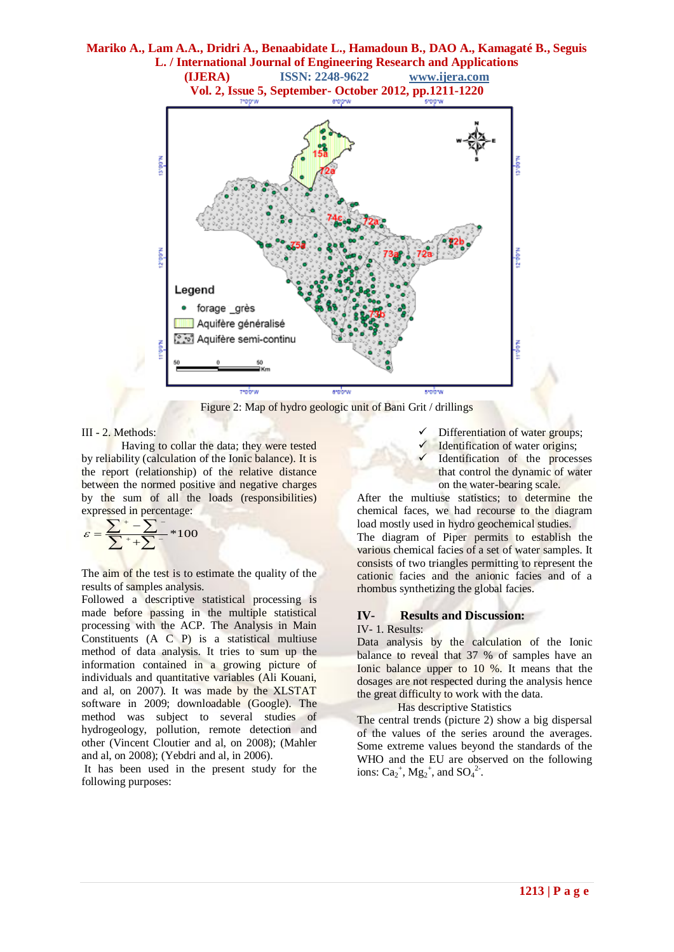

Figure 2: Map of hydro geologic unit of Bani Grit / drillings

#### III - 2. Methods:

Having to collar the data; they were tested by reliability (calculation of the Ionic balance). It is the report (relationship) of the relative distance between the normed positive and negative charges by the sum of all the loads (responsibilities) expressed in percentage:

$$
\varepsilon = \frac{\sum_{i=1}^{n} \sum_{i=1}^{n} x_i}{\sum_{i=1}^{n} x_i} \approx 100
$$

The aim of the test is to estimate the quality of the results of samples analysis.

Followed a descriptive statistical processing is made before passing in the multiple statistical processing with the ACP. The Analysis in Main Constituents (A C P) is a statistical multiuse method of data analysis. It tries to sum up the information contained in a growing picture of individuals and quantitative variables (Ali Kouani, and al, on 2007). It was made by the XLSTAT software in 2009; downloadable (Google). The method was subject to several studies of hydrogeology, pollution, remote detection and other (Vincent Cloutier and al, on 2008); (Mahler and al, on 2008); (Yebdri and al, in 2006).

It has been used in the present study for the following purposes:

- Differentiation of water groups;
- Identification of water origins;
- Identification of the processes that control the dynamic of water on the water-bearing scale.

After the multiuse statistics; to determine the chemical faces, we had recourse to the diagram load mostly used in hydro geochemical studies.

The diagram of Piper permits to establish the various chemical facies of a set of water samples. It consists of two triangles permitting to represent the cationic facies and the anionic facies and of a rhombus synthetizing the global facies.

# **IV- Results and Discussion:**

#### IV- 1. Results:

Data analysis by the calculation of the Ionic balance to reveal that 37 % of samples have an Ionic balance upper to 10 %. It means that the dosages are not respected during the analysis hence the great difficulty to work with the data.

Has descriptive Statistics

The central trends (picture 2) show a big dispersal of the values of the series around the averages. Some extreme values beyond the standards of the WHO and the EU are observed on the following ions:  $Ca_2^+$ ,  $Mg_2^+$ , and  $SO_4^2$ .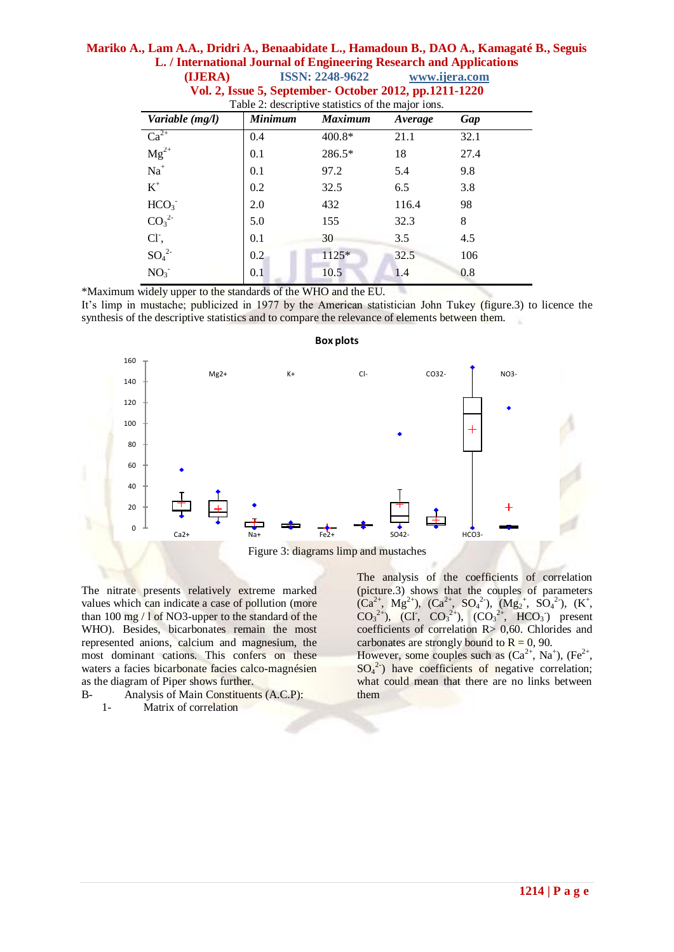| Vol. 2, Issue 5, September - October 2012, pp.1211-1220<br>Table 2: descriptive statistics of the major ions. |                |                |         |      |  |  |
|---------------------------------------------------------------------------------------------------------------|----------------|----------------|---------|------|--|--|
| Variable (mg/l)                                                                                               | <b>Minimum</b> | <b>Maximum</b> | Average | Gap  |  |  |
| $Ca^{2+}$                                                                                                     | 0.4            | $400.8*$       | 21.1    | 32.1 |  |  |
| $\frac{C}{mg^{2+}}$                                                                                           | 0.1            | 286.5*         | 18      | 27.4 |  |  |
| $\mathrm{Na}^+$                                                                                               | 0.1            | 97.2           | 5.4     | 9.8  |  |  |
| $K^+$                                                                                                         | 0.2            | 32.5           | 6.5     | 3.8  |  |  |
| HCO <sub>3</sub>                                                                                              | 2.0            | 432            | 116.4   | 98   |  |  |
| CO <sub>3</sub> <sup>2</sup>                                                                                  | 5.0            | 155            | 32.3    | 8    |  |  |
| Cl <sup>-</sup> ,                                                                                             | 0.1            | 30             | 3.5     | 4.5  |  |  |
| $SO_4^2$                                                                                                      | 0.2            | $1125*$        | 32.5    | 106  |  |  |
| NO <sub>3</sub>                                                                                               | 0.1            | 10.5           | 1.4     | 0.8  |  |  |

# **Mariko A., Lam A.A., Dridri A., Benaabidate L., Hamadoun B., DAO A., Kamagaté B., Seguis L. / International Journal of Engineering Research and Applications (IJERA) ISSN: 2248-9622 www.ijera.com**

\*Maximum widely upper to the standards of the WHO and the EU.

It's limp in mustache; publicized in 1977 by the American statistician John Tukey (figure.3) to licence the synthesis of the descriptive statistics and to compare the relevance of elements between them.



#### **Box plots**

Figure 3: diagrams limp and mustaches

The nitrate presents relatively extreme marked values which can indicate a case of pollution (more than 100 mg / l of NO3-upper to the standard of the WHO). Besides, bicarbonates remain the most represented anions, calcium and magnesium, the most dominant cations. This confers on these waters a facies bicarbonate facies calco-magnésien as the diagram of Piper shows further.

B- Analysis of Main Constituents (A.C.P): 1- Matrix of correlation

The analysis of the coefficients of correlation (picture.3) shows that the couples of parameters  $(Ca^{2+}, Mg^{2+}), (Ca^{2+}, SO_4^{2-}), (Mg_2^+, SO_4^{2-}), (K^+,$  $CO_3^{2+}$ ), (CI<sup>-</sup>, CO<sub>3</sub><sup>2+</sup>), (CO<sub>3</sub><sup>2+</sup>, HCO<sub>3</sub><sup>-</sup>) present coefficients of correlation R> 0,60. Chlorides and carbonates are strongly bound to  $R = 0$ , 90.

However, some couples such as  $(Ca^{2+}$ , Na<sup>+</sup>), (Fe<sup>2+</sup>,  $SO_4^2$ ) have coefficients of negative correlation; what could mean that there are no links between them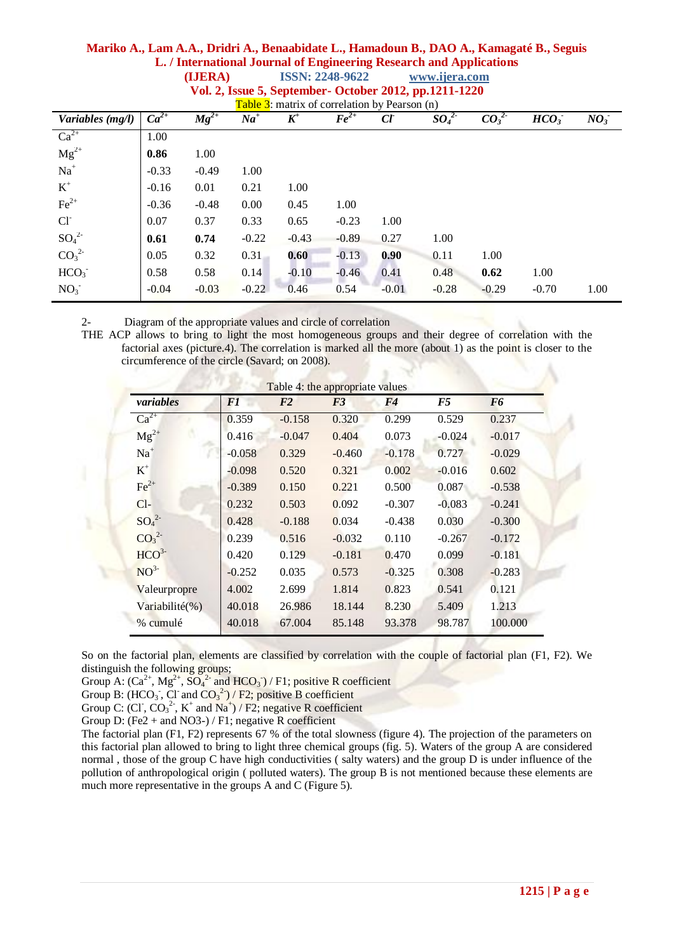# **Mariko A., Lam A.A., Dridri A., Benaabidate L., Hamadoun B., DAO A., Kamagaté B., Seguis L. / International Journal of Engineering Research and Applications (IJERA) ISSN: 2248-9622 www.ijera.com**

| Table $3$ : matrix of correlation by Pearson (n) |           |           |         |         |         |                 |                              |          |                  |                 |
|--------------------------------------------------|-----------|-----------|---------|---------|---------|-----------------|------------------------------|----------|------------------|-----------------|
| Variables (mg/l)                                 | $Ca^{2+}$ | $Mg^{2+}$ | $Na+$   | $K^+$   | $Fe2+$  | $\mathfrak{C}l$ | SO <sub>4</sub> <sup>2</sup> | $CO_3^2$ | HCO <sub>3</sub> | NO <sub>3</sub> |
| $Ca^{2+}$                                        | 1.00      |           |         |         |         |                 |                              |          |                  |                 |
| $Mg^{2+}$                                        | 0.86      | 1.00      |         |         |         |                 |                              |          |                  |                 |
| $Na+$                                            | $-0.33$   | $-0.49$   | 1.00    |         |         |                 |                              |          |                  |                 |
| $\mbox{K}^+$                                     | $-0.16$   | 0.01      | 0.21    | 1.00    |         |                 |                              |          |                  |                 |
| $\text{Fe}^{2+}$                                 | $-0.36$   | $-0.48$   | 0.00    | 0.45    | 1.00    |                 |                              |          |                  |                 |
| $Cl-$                                            | 0.07      | 0.37      | 0.33    | 0.65    | $-0.23$ | 1.00            |                              |          |                  |                 |
| SO <sub>4</sub> <sup>2</sup>                     | 0.61      | 0.74      | $-0.22$ | $-0.43$ | $-0.89$ | 0.27            | 1.00                         |          |                  |                 |
| CO <sub>3</sub> <sup>2</sup>                     | 0.05      | 0.32      | 0.31    | 0.60    | $-0.13$ | 0.90            | 0.11                         | 1.00     |                  |                 |
| HCO <sub>3</sub>                                 | 0.58      | 0.58      | 0.14    | $-0.10$ | $-0.46$ | 0.41            | 0.48                         | 0.62     | 1.00             |                 |
| NO <sub>3</sub>                                  | $-0.04$   | $-0.03$   | $-0.22$ | 0.46    | 0.54    | $-0.01$         | $-0.28$                      | $-0.29$  | $-0.70$          | 1.00            |

**Vol. 2, Issue 5, September- October 2012, pp.1211-1220**

2- Diagram of the appropriate values and circle of correlation

THE ACP allows to bring to light the most homogeneous groups and their degree of correlation with the factorial axes (picture.4). The correlation is marked all the more (about 1) as the point is closer to the circumference of the circle (Savard; on 2008).

| Table 4: the appropriate values |                |                |                |          |          |                |  |  |
|---------------------------------|----------------|----------------|----------------|----------|----------|----------------|--|--|
| variables                       | F <sub>1</sub> | F <sub>2</sub> | F <sub>3</sub> | F4       | F5       | F <sub>6</sub> |  |  |
| $Ca^{2+}$                       | 0.359          | $-0.158$       | 0.320          | 0.299    | 0.529    | 0.237          |  |  |
| $Mg^{2+}$                       | 0.416          | $-0.047$       | 0.404          | 0.073    | $-0.024$ | $-0.017$       |  |  |
| $Na+$                           | $-0.058$       | 0.329          | $-0.460$       | $-0.178$ | 0.727    | $-0.029$       |  |  |
| $K^+$                           | $-0.098$       | 0.520          | 0.321          | 0.002    | $-0.016$ | 0.602          |  |  |
| $Fe2+$                          | $-0.389$       | 0.150          | 0.221          | 0.500    | 0.087    | $-0.538$       |  |  |
| $Cl-$                           | 0.232          | 0.503          | 0.092          | $-0.307$ | $-0.083$ | $-0.241$       |  |  |
| SO <sub>4</sub> <sup>2</sup>    | 0.428          | $-0.188$       | 0.034          | $-0.438$ | 0.030    | $-0.300$       |  |  |
| CO <sub>3</sub> <sup>2</sup>    | 0.239          | 0.516          | $-0.032$       | 0.110    | $-0.267$ | $-0.172$       |  |  |
| HCO <sup>3</sup>                | 0.420          | 0.129          | $-0.181$       | 0.470    | 0.099    | $-0.181$       |  |  |
| NO <sup>3</sup>                 | $-0.252$       | 0.035          | 0.573          | $-0.325$ | 0.308    | $-0.283$       |  |  |
| Valeurpropre                    | 4.002          | 2.699          | 1.814          | 0.823    | 0.541    | 0.121          |  |  |
| Variabilité(%)                  | 40.018         | 26.986         | 18.144         | 8.230    | 5.409    | 1.213          |  |  |
| % cumulé                        | 40.018         | 67.004         | 85.148         | 93.378   | 98.787   | 100.000        |  |  |

So on the factorial plan, elements are classified by correlation with the couple of factorial plan (F1, F2). We distinguish the following groups;

Group A:  $(Ca^{2+}$ ,  $Mg^{2+}$ ,  $SO_4^{2-}$  and  $HCO_3^-$ ) / F1; positive R coefficient

Group B:  $(HCO<sub>3</sub>$ , Cl and  $CO<sub>3</sub><sup>2</sup>)/F2$ ; positive B coefficient

Group C: (CI,  $CO_3^2$ , K<sup>+</sup> and Na<sup>+</sup>) / F2; negative R coefficient

Group D: (Fe2 + and NO3-) / F1; negative R coefficient

The factorial plan (F1, F2) represents 67 % of the total slowness (figure 4). The projection of the parameters on this factorial plan allowed to bring to light three chemical groups (fig. 5). Waters of the group A are considered normal , those of the group C have high conductivities ( salty waters) and the group D is under influence of the pollution of anthropological origin ( polluted waters). The group B is not mentioned because these elements are much more representative in the groups A and C (Figure 5).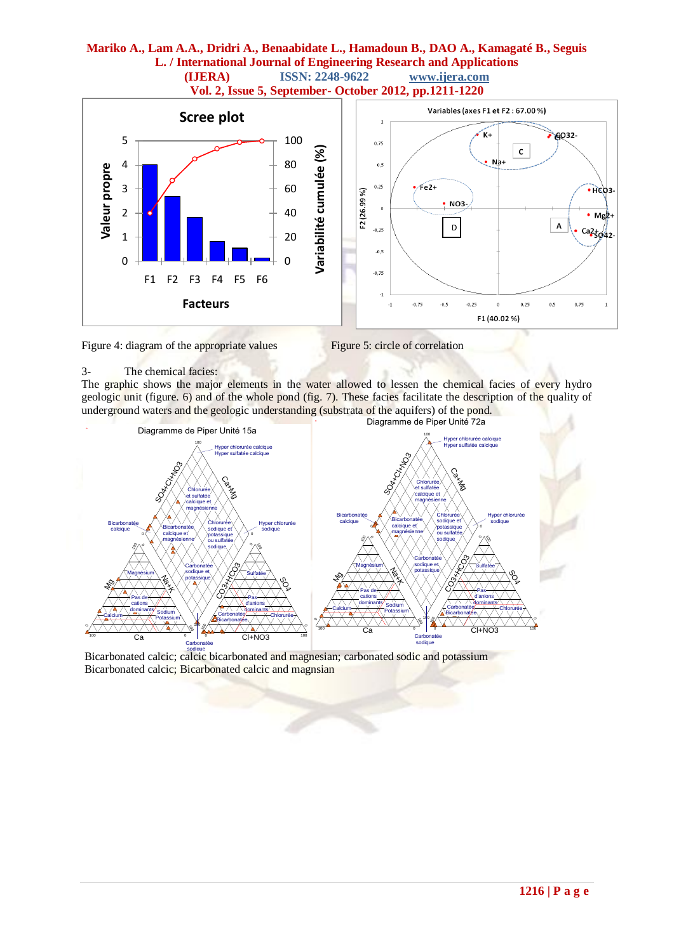

#### Figure 4: diagram of the appropriate values Figure 5: circle of correlation

#### 3- The chemical facies:

The graphic shows the major elements in the water allowed to lessen the chemical facies of every hydro geologic unit (figure. 6) and of the whole pond (fig. 7). These facies facilitate the description of the quality of underground waters and the geologic understanding (substrata of the aquifers) of the pond.



Bicarbonated calcic; calcic bicarbonated and magnesian; carbonated sodic and potassium Bicarbonated calcic; Bicarbonated calcic and magnsian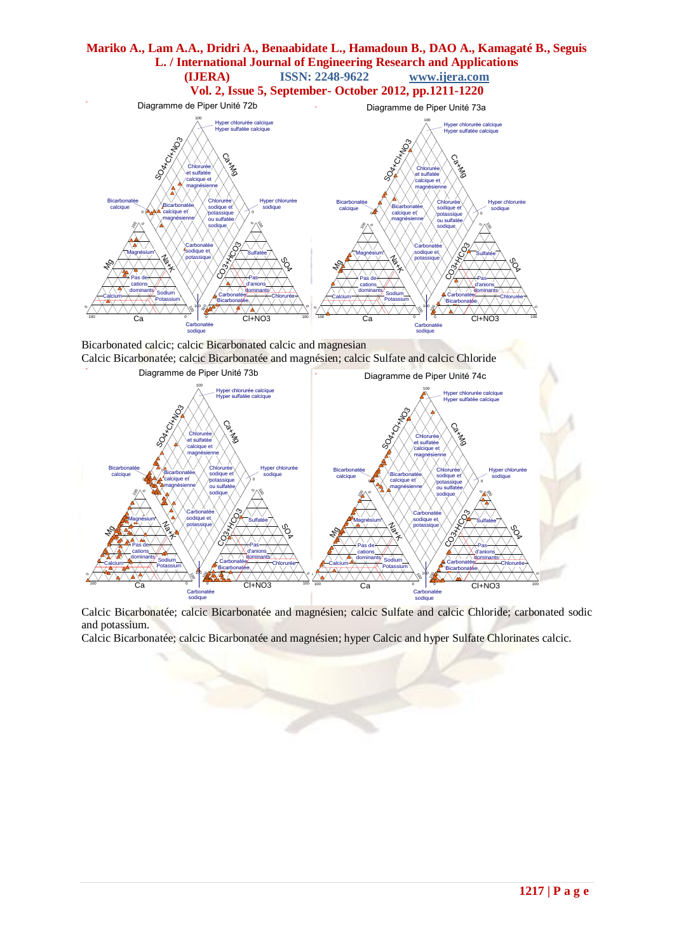

Bicarbonated calcic; calcic Bicarbonated calcic and magnesian Calcic Bicarbonatée; calcic Bicarbonatée and magnésien; calcic Sulfate and calcic Chloride



Calcic Bicarbonatée; calcic Bicarbonatée and magnésien; calcic Sulfate and calcic Chloride; carbonated sodic and potassium.

Calcic Bicarbonatée; calcic Bicarbonatée and magnésien; hyper Calcic and hyper Sulfate Chlorinates calcic.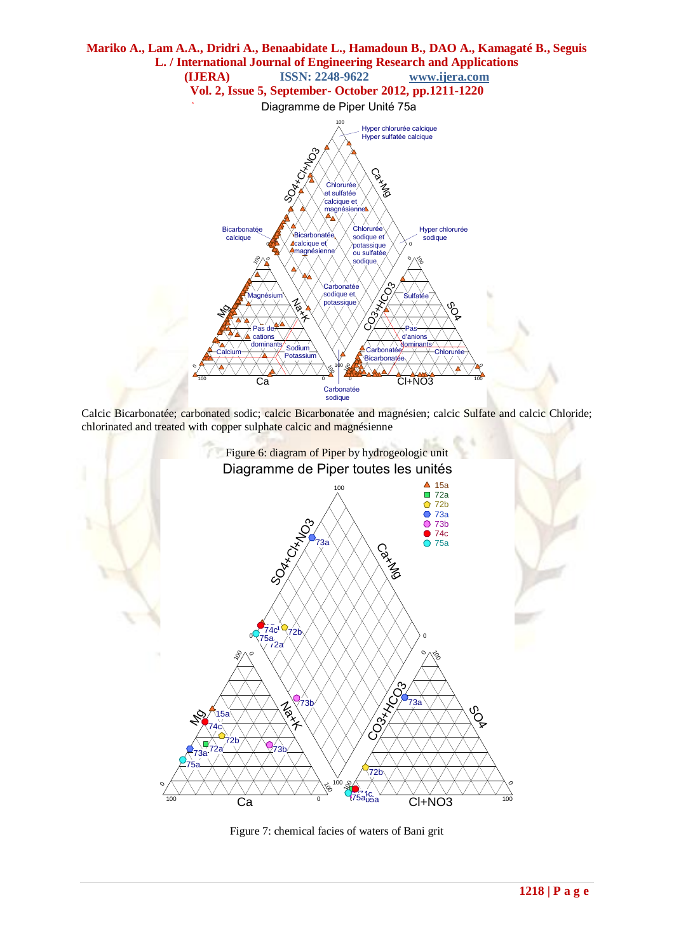

Calcic Bicarbonatée; carbonated sodic; calcic Bicarbonatée and magnésien; calcic Sulfate and calcic Chloride; chlorinated and treated with copper sulphate calcic and magnésienne



Figure 7: chemical facies of waters of Bani grit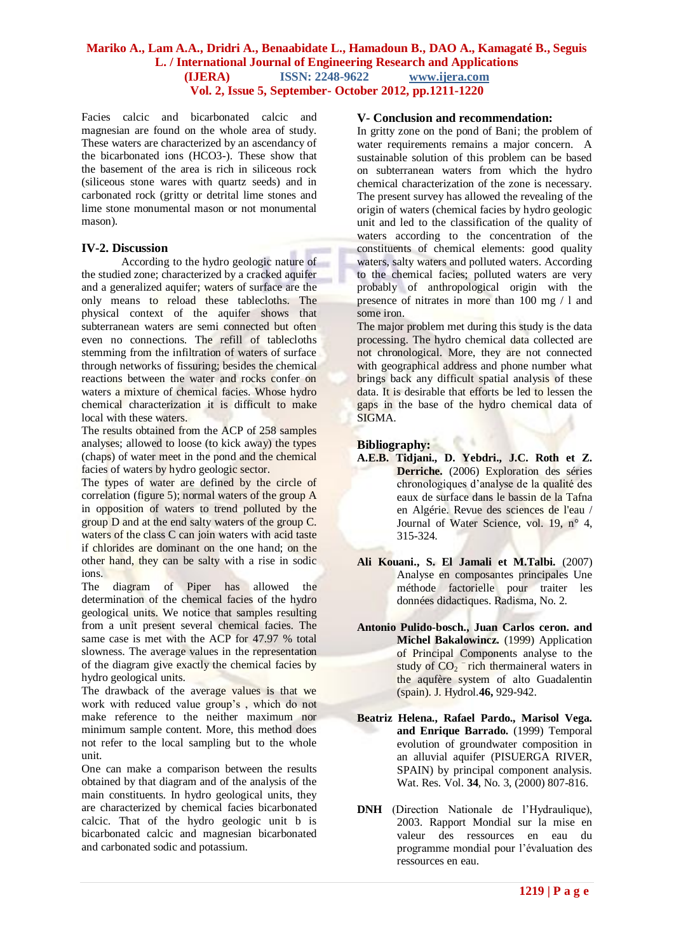Facies calcic and bicarbonated calcic and magnesian are found on the whole area of study. These waters are characterized by an ascendancy of the bicarbonated ions (HCO3-). These show that the basement of the area is rich in siliceous rock (siliceous stone wares with quartz seeds) and in carbonated rock (gritty or detrital lime stones and lime stone monumental mason or not monumental mason).

## **IV-2. Discussion**

According to the hydro geologic nature of the studied zone; characterized by a cracked aquifer and a generalized aquifer; waters of surface are the only means to reload these tablecloths. The physical context of the aquifer shows that subterranean waters are semi connected but often even no connections. The refill of tablecloths stemming from the infiltration of waters of surface through networks of fissuring; besides the chemical reactions between the water and rocks confer on waters a mixture of chemical facies. Whose hydro chemical characterization it is difficult to make local with these waters.

The results obtained from the ACP of 258 samples analyses; allowed to loose (to kick away) the types (chaps) of water meet in the pond and the chemical facies of waters by hydro geologic sector.

The types of water are defined by the circle of correlation (figure 5); normal waters of the group A in opposition of waters to trend polluted by the group D and at the end salty waters of the group C. waters of the class C can join waters with acid taste if chlorides are dominant on the one hand; on the other hand, they can be salty with a rise in sodic ions.

The diagram of Piper has allowed the determination of the chemical facies of the hydro geological units. We notice that samples resulting from a unit present several chemical facies. The same case is met with the ACP for 47.97 % total slowness. The average values in the representation of the diagram give exactly the chemical facies by hydro geological units.

The drawback of the average values is that we work with reduced value group's , which do not make reference to the neither maximum nor minimum sample content. More, this method does not refer to the local sampling but to the whole unit.

One can make a comparison between the results obtained by that diagram and of the analysis of the main constituents. In hydro geological units, they are characterized by chemical facies bicarbonated calcic. That of the hydro geologic unit b is bicarbonated calcic and magnesian bicarbonated and carbonated sodic and potassium.

#### **V- Conclusion and recommendation:**

In gritty zone on the pond of Bani; the problem of water requirements remains a major concern. A sustainable solution of this problem can be based on subterranean waters from which the hydro chemical characterization of the zone is necessary. The present survey has allowed the revealing of the origin of waters (chemical facies by hydro geologic unit and led to the classification of the quality of waters according to the concentration of the constituents of chemical elements: good quality waters, salty waters and polluted waters. According to the chemical facies; polluted waters are very probably of anthropological origin with the presence of nitrates in more than 100 mg / l and some iron.

The major problem met during this study is the data processing. The hydro chemical data collected are not chronological. More, they are not connected with geographical address and phone number what brings back any difficult spatial analysis of these data. It is desirable that efforts be led to lessen the gaps in the base of the hydro chemical data of SIGMA.

#### **Bibliography:**

- **A.E.B. Tidjani., D. Yebdri., J.C. Roth et Z. Derriche.** (2006) Exploration des séries chronologiques d'analyse de la qualité des eaux de surface dans le bassin de la Tafna en Algérie. Revue des sciences de l'eau / Journal of Water Science, vol. 19, n° 4, 315-324.
- **Ali Kouani., S. El Jamali et M.Talbi.** (2007) Analyse en composantes principales Une méthode factorielle pour traiter les données didactiques. Radisma, No. 2.
- **Antonio Pulido-bosch., Juan Carlos ceron. and Michel Bakalowincz.** (1999) Application of Principal Components analyse to the study of  $CO_2$ <sup>-</sup>rich thermaineral waters in the aqufère system of alto Guadalentin (spain). J. Hydrol.**46,** 929-942.
- **Beatriz Helena., Rafael Pardo., Marisol Vega. and Enrique Barrado.** (1999) Temporal evolution of groundwater composition in an alluvial aquifer (PISUERGA RIVER, SPAIN) by principal component analysis. Wat. Res. Vol. **34**, No. 3, (2000) 807-816.
- **DNH** (Direction Nationale de l'Hydraulique), 2003. Rapport Mondial sur la mise en valeur des ressources en eau du programme mondial pour l'évaluation des ressources en eau.